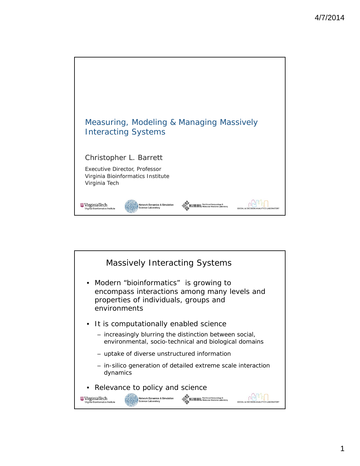

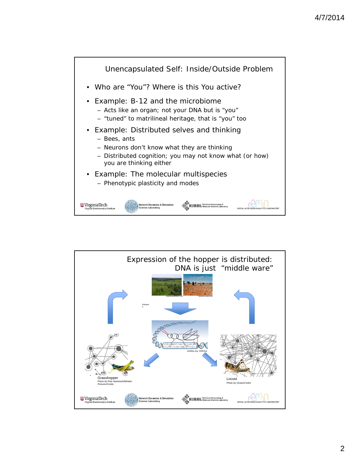

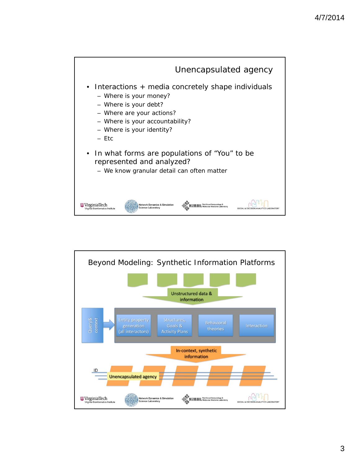

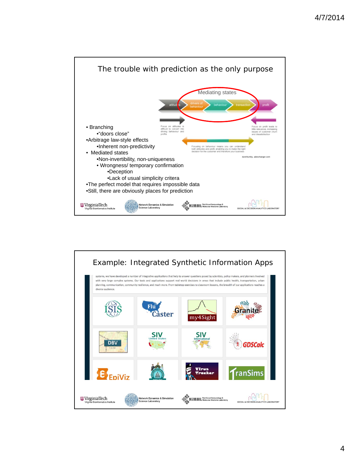

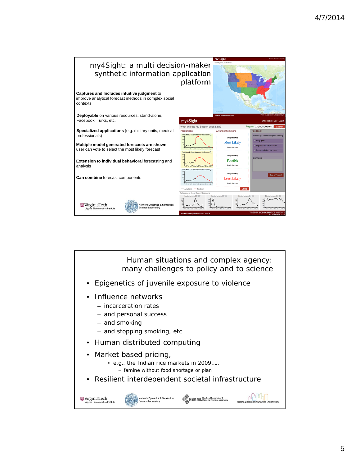

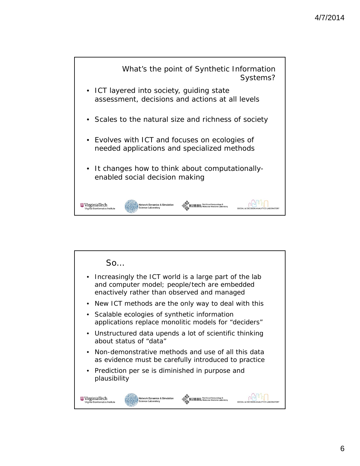